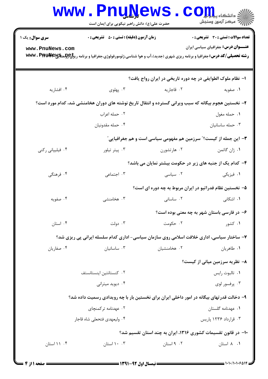|                                                                                           | <b>MMM • FUNTAGMP</b><br>حضرت علی(ع): دانش راهبر نیکویی برای ایمان است                                                                                          |                                                             | COLL S<br>رآب مرکز آزمون وسنجش               |
|-------------------------------------------------------------------------------------------|-----------------------------------------------------------------------------------------------------------------------------------------------------------------|-------------------------------------------------------------|----------------------------------------------|
| <b>سری سوال :</b> یک ۱                                                                    | <b>زمان آزمون (دقیقه) : تستی : 50 ٪ تشریحی : 0</b>                                                                                                              |                                                             | <b>تعداد سوالات : تستی : 30 ٪ تشریحی : 0</b> |
| www.PnuNews.com                                                                           | <b>رشته تحصیلی/کد درس:</b> جغرافیا و برنامه ریزی شهری (جدید)،آب و هوا شناسی،ژئومورفولوژی،جغرافیا و برنامه ری <del>زلیCولو</del> سیکیلا <b>Firk و WWW . Pifk</b> |                                                             | <b>عنـــوان درس:</b> جغرافیای سیاسی ایران    |
|                                                                                           |                                                                                                                                                                 | ا– نظام ملوک الطوایفی در چه دوره تاریخی در ایران رواج یافت؟ |                                              |
| ۰۴ افشاریه                                                                                | ۰۳ پهلوی                                                                                                                                                        | ۰۲ قاجاريه                                                  | ۰۱ صفویه                                     |
|                                                                                           | ۲- نخستین هجوم بیگانه که سبب ویرانی گسترده و انتقال تاریخ نوشته های دوران هخامنشی شد، کدام مورد است؟                                                            |                                                             |                                              |
|                                                                                           | ٠٢ حمله اعراب                                                                                                                                                   |                                                             | ٠١ حمله مغول                                 |
|                                                                                           | ۰۴ حمله مقدونيان                                                                                                                                                |                                                             | ۰۳ حمله ساسانيان                             |
| ۳- این جمله از کیست؟" سرزمین هم مفهومی سیاسی است و هم جغرافیایی"                          |                                                                                                                                                                 |                                                             |                                              |
| ۰۴ فیلیپانی رکنی                                                                          | ۰۳ پیتر تیلور                                                                                                                                                   | ۰۲ هارتشورن                                                 | ۰۱ ژان گاتمن                                 |
|                                                                                           |                                                                                                                                                                 | ۴- کدام یک از جنبه های زیر در حکومت بیشتر نمایان می باشد؟   |                                              |
| ۰۴ فرهنگی                                                                                 | ۰۳ اجتماعی                                                                                                                                                      | ۰۲ سیاسی                                                    | ۰۱ فیزیکی                                    |
|                                                                                           |                                                                                                                                                                 | ۵– نخستین نظام فدراتیو در ایران مربوط به چه دوره ای است؟    |                                              |
| ۰۴ صفویه                                                                                  | ۰۳ هخامنشی                                                                                                                                                      | ۰۲ ساسانی                                                   | <b>۱.</b> اشکانی                             |
|                                                                                           |                                                                                                                                                                 |                                                             | ۶- در فارسی باستان شهر به چه معنی بوده است؟  |
| ۰۴ استان                                                                                  | ۰۳ دولت                                                                                                                                                         | ۰۲ حکومت                                                    | ۰۱ کشور                                      |
| ۷- ساختار سیاسی، اداری خلافت اسلامی روی سازمان سیاسی- اداری کدام سلسله ایرانی پی ریزی شد؟ |                                                                                                                                                                 |                                                             |                                              |
| ۰۴ صفاریان                                                                                | ۰۳ ساسانیان                                                                                                                                                     | ۰۲ هخامنشیان                                                | ٠١ طاهريان                                   |
|                                                                                           |                                                                                                                                                                 |                                                             | ۸– نظریه سرزمین میانی از کیست؟               |
|                                                                                           | ۰۲ کنستانتین اینستانستف                                                                                                                                         |                                                             | ٠١. تالبوت رايس                              |
|                                                                                           | ۰۴ دیوید میترانی                                                                                                                                                |                                                             | ۰۳ پرفسور لوی                                |
| ۹– دخالت قدرتهای بیگانه در امور داخلی ایران برای نخستین بار با چه رویدادی رسمیت داده شد؟  |                                                                                                                                                                 |                                                             |                                              |
|                                                                                           | ۰۲ عهدنامه ترکمنچای                                                                                                                                             |                                                             | <b>۱.</b> عهدنامه گلستان                     |
|                                                                                           | ۰۴ وليعهدي فتحعلي شاه قاجار                                                                                                                                     |                                                             | ۰۳ قرارداد ۱۲۳۶ پاریس                        |
| ∙۱− در قانون تقسیمات کشوری ۱۳۱۶، ایران به چند استان تقسیم شد؟                             |                                                                                                                                                                 |                                                             |                                              |
| ۰۴ / ۱ استان                                                                              | ۰۰ ۱۰ استان                                                                                                                                                     | ۰۲ استان                                                    | ٠١. ٨ استان                                  |
|                                                                                           |                                                                                                                                                                 |                                                             |                                              |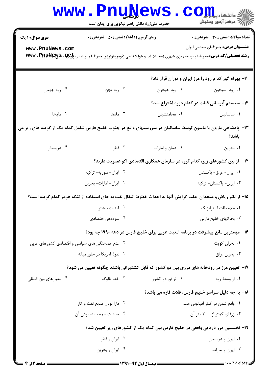|                                                                                                                                                                                                                 | www.PnuNews<br>حضرت علی(ع): دانش راهبر نیکویی برای ایمان است                                                  |                          | أأزام مركز آزمون وسنجش                                                                                                  |  |
|-----------------------------------------------------------------------------------------------------------------------------------------------------------------------------------------------------------------|---------------------------------------------------------------------------------------------------------------|--------------------------|-------------------------------------------------------------------------------------------------------------------------|--|
| <b>سری سوال : ۱ یک</b>                                                                                                                                                                                          | <b>زمان آزمون (دقیقه) : تستی : 50 ٪ تشریحی : 0</b>                                                            |                          | <b>تعداد سوالات : تستی : 30 ٪ تشریحی : 0</b>                                                                            |  |
| <b>عنـــوان درس:</b> جغرافیای سیاسی ایران<br>www.PnuNews.com<br><b>رشته تحصیلی/کد درس:</b> جغرافیا و برنامه ریزی شهری (جدید)،آب و هوا شناسی،ژئومورفولوژی،جغرافیا و برنامه ری <del>زلیCولستگیلا W</del> Wv . Pis |                                                                                                               |                          |                                                                                                                         |  |
|                                                                                                                                                                                                                 |                                                                                                               |                          | 11- بهرام گور کدام رود را مرز ایران و توران قرار داد؟                                                                   |  |
| ۰۴ رود جزمان                                                                                                                                                                                                    | ۰۳ رود تجن                                                                                                    |                          | ۰۱ رود سیحون <b>مو</b> رد به استان کرده به درود به این مورد به این مورد به این مورد به این مورد به این مورد به این مورد |  |
|                                                                                                                                                                                                                 |                                                                                                               |                          | ۱۲- سیستم آبرسانی قنات در کدام دوره اختراع شد؟                                                                          |  |
| ۰۴ ماياها                                                                                                                                                                                                       | ۰۳ مادها                                                                                                      | ۰۲ هخامنشیان             | ۰۱ ساسانیان                                                                                                             |  |
| ۱۳- پادشاهی مازون یا ماسون توسط ساسانیان در سرزمینهای واقع در جنوب خلیج فارس شامل کدام یک از گزینه های زیر می<br>باشد؟                                                                                          |                                                                                                               |                          |                                                                                                                         |  |
| ۰۴ عربستان                                                                                                                                                                                                      | ۰۳ قطر                                                                                                        | ۰۲ عمان و امارات         | ٠١ بحرين                                                                                                                |  |
|                                                                                                                                                                                                                 |                                                                                                               |                          | ۱۴– از بین کشورهای زیر، کدام گروه در سازمان همکاری اقتصادی اکو عضویت دارند؟                                             |  |
|                                                                                                                                                                                                                 | ۰۲ ایران- سوریه- ترکیه                                                                                        | ٠١ ايران- عراق- پاكستان  |                                                                                                                         |  |
| ۰۴ ایران- امارات- بحرین                                                                                                                                                                                         |                                                                                                               | ۰۳ ایران- پاکستان- ترکیه |                                                                                                                         |  |
|                                                                                                                                                                                                                 | ۱۵– از نظر ریاض و متحدان ًعلت گرایش آنها به احداث خطوط انتقال نفت به جای استفاده از تنگه هرمز کدام گزینه است؟ |                          |                                                                                                                         |  |
| ۰۲ امنیت بیشتر                                                                                                                                                                                                  |                                                                                                               | ۰۱ ملاحظات استراتژیک     |                                                                                                                         |  |
| ۰۴ سوددهی اقتصادی                                                                                                                                                                                               |                                                                                                               | ۰۳ بحرانهای خلیج فارس    |                                                                                                                         |  |
|                                                                                                                                                                                                                 |                                                                                                               |                          | ۱۶- مهمترین مانع پیشرفت در برنامه امنیت عربی برای خلیج فارس در دهه ۱۹۹۰ چه بود؟                                         |  |
| ۰۲ عدم هماهنگی های سیاسی و اقتصادی کشورهای عربی                                                                                                                                                                 |                                                                                                               | ۰۱ بحران کویت            |                                                                                                                         |  |
| ۰۴ نفوذ آمریکا در خاور میانه                                                                                                                                                                                    |                                                                                                               |                          | ۰۳ بحران عراق                                                                                                           |  |
|                                                                                                                                                                                                                 | ۱۷- تعیین مرز در رودخانه های مرزی بین دو کشور که قابل کشتیرانی باشند چگونه تعیین می شود؟                      |                          |                                                                                                                         |  |
| ۰۴ معیارهای بین المللی                                                                                                                                                                                          | ۰۳ خط تالوگ                                                                                                   | ۰۲ توافق دو کشور         | ۰۱ از وسط رود                                                                                                           |  |
|                                                                                                                                                                                                                 |                                                                                                               |                          | 1۸– به چه دلیل سراسر خلیج فارس، فلات قاره می باشد؟                                                                      |  |
|                                                                                                                                                                                                                 | ۰۲ دارا بودن منابع نفت و گاز                                                                                  |                          | ۰۱ واقع شدن در کنار اقیانوس هند                                                                                         |  |
| ۰۴ به علت نیمه بسته بودن آن                                                                                                                                                                                     |                                                                                                               |                          | ۰۳ ژرفای کمتر از ۲۰۰ متر آن                                                                                             |  |
| ۱۹- نخستین مرز دریایی واقعی در خلیج فارس بین کدام یک از کشورهای زیر تعیین شد؟                                                                                                                                   |                                                                                                               |                          |                                                                                                                         |  |
| ۰۲ ایران و قطر                                                                                                                                                                                                  |                                                                                                               |                          | ۰۱ ایران و عربستان                                                                                                      |  |
|                                                                                                                                                                                                                 | ۰۴ ایران و بحرین                                                                                              |                          | ۰۳ ایران و امارات                                                                                                       |  |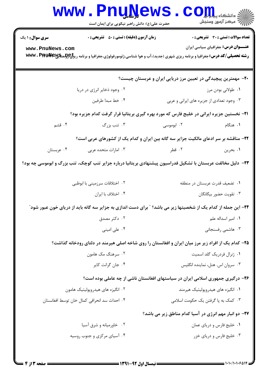|                                                                                                               | <b>WWW.PNUNEWS</b><br>حضرت علی(ع): دانش راهبر نیکویی برای ایمان است                                                                                          |                                                                                 | $\text{C}$ OII<br>سنجش ازمون وسنجش           |  |
|---------------------------------------------------------------------------------------------------------------|--------------------------------------------------------------------------------------------------------------------------------------------------------------|---------------------------------------------------------------------------------|----------------------------------------------|--|
| <b>سری سوال :</b> ۱ یک                                                                                        | <b>زمان آزمون (دقیقه) : تستی : 50 ٪ تشریحی : 0</b>                                                                                                           |                                                                                 | <b>تعداد سوالات : تستی : 30 ٪ تشریحی : 0</b> |  |
| www.PnuNews.com                                                                                               | <b>رشته تحصیلی/کد درس:</b> جغرافیا و برنامه ریزی شهری (جدید)،آب و هوا شناسی،ژئومورفولوژی،جغرافیا و برنامه ری <del>زلیCولو</del> سیگیی <b>wwv . PifikNe</b> w |                                                                                 | <b>عنـــوان درس:</b> جغرافیای سیاسی ایران    |  |
| +۲- مهمترین پیچیدگی در تعیین مرز دریایی ایران و عربستان چیست؟                                                 |                                                                                                                                                              |                                                                                 |                                              |  |
|                                                                                                               | ۰۲ وجود ذخایر انرژی در دریا                                                                                                                                  |                                                                                 | ۰۱ طولانی بودن مرز                           |  |
|                                                                                                               | ۰۴ خط مبدا طرفين                                                                                                                                             | ۰۳ وجود تعدادی از جزیره های ایرانی و عربی                                       |                                              |  |
| <b>۲۱</b> - نخستین جزیره ایرانی در خلیج فارس که مورد بهره گیری بریتانیا قرار گرفت کدام جزیره بود؟             |                                                                                                                                                              |                                                                                 |                                              |  |
| ۰۴ قشم                                                                                                        | ۰۳ تنب بزرگ                                                                                                                                                  | ۰۲ ابوموسی                                                                      | ۰۱ هنگام                                     |  |
| ۲۲- مناقشه بر سر ادعای مالکیت جزایر سه گانه بین ایران و کدام یک از کشورهای عربی است؟                          |                                                                                                                                                              |                                                                                 |                                              |  |
| ۰۴ عربستان                                                                                                    | ۰۳ امارات متحده عربی                                                                                                                                         | ۰۲ قطر                                                                          | ۰۱ بحرين                                     |  |
| ۲۳- دلیل مخالفت عربستان با تشکیل فدراسیون پیشنهادی بریتانیا درباره جزایر تنب کوچک، تنب بزرگ و ابوموسی چه بود؟ |                                                                                                                                                              |                                                                                 |                                              |  |
|                                                                                                               | ۰۲ اختلافات سرزمینی با ابوظبی                                                                                                                                |                                                                                 | ٠١ تضعيف قدرت عربستان در منطقه               |  |
|                                                                                                               | ۰۴ اختلاف با ايران                                                                                                                                           |                                                                                 | ۰۳ تقويت حضور بيگانگان                       |  |
|                                                                                                               | <b>۲۴</b> - این جمله از کدام یک از شخصیتها زیر می باشد؟ " برای دست اندازی به جزایر سه گانه باید از دریای خون عبور شود"                                       |                                                                                 |                                              |  |
|                                                                                                               | ۰۲ دکتر مصدق                                                                                                                                                 |                                                                                 | ۰۱ امیر اسداله علم                           |  |
|                                                                                                               | ۰۴ علی امینی                                                                                                                                                 |                                                                                 | ۰۳ هاشمی رفسنجانی                            |  |
|                                                                                                               | ۲۵– کدام یک از افراد زیر مرز میان ایران و افغانستان را روی شاخه اصلی هیرمند در دلتای رودخانه گذاشت؟                                                          |                                                                                 |                                              |  |
|                                                                                                               | ۰۲ سرهنگ مک هامون                                                                                                                                            |                                                                                 | ۰۱ ژنرال فردریک گلد اسمیت                    |  |
|                                                                                                               | ۰۴ جان گرانت کاير                                                                                                                                            |                                                                                 | ۰۳ سروان اس. هنل، نماینده انگلیس             |  |
|                                                                                                               |                                                                                                                                                              | ۲۶- درگیری جمهوری اسلامی ایران در سیاستهای افغانستان ناشی از چه عاملی بوده است؟ |                                              |  |
|                                                                                                               | ۰۲ انگیزه های هیدروپولیتیک هامون                                                                                                                             |                                                                                 | ۰۱ انگیزه های هیدروپولیتیک هیرمند            |  |
|                                                                                                               | ۰۴ احداث سد انحرافي كمال خان توسط افغانستان                                                                                                                  |                                                                                 | ۰۳ کمک به پا گرفتن یک حکومت اسلامی           |  |
|                                                                                                               |                                                                                                                                                              | <b>۲۷- دو انبار مهم انرژی در آسیا کدام مناطق زیر می باشد؟</b>                   |                                              |  |
|                                                                                                               | ۰۲ خاورمیانه و شرق آسیا                                                                                                                                      |                                                                                 | ۰۱ خلیج فارس و دریای عمان                    |  |
|                                                                                                               | ۰۴ آسیای مرکزی و جنوب روسیه                                                                                                                                  |                                                                                 | ۰۳ خلیج فارس و دریای خزر                     |  |
|                                                                                                               |                                                                                                                                                              |                                                                                 |                                              |  |